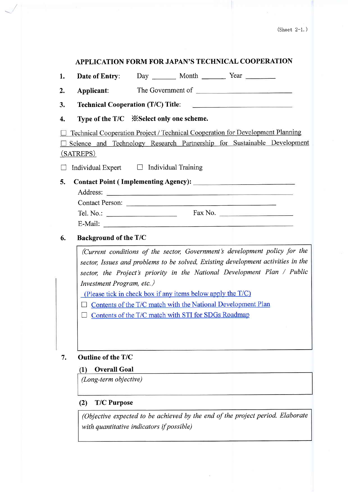# APPLICATION FORM FOR JAPAN'S TECHNICAL COOPERATION

| 1. | Date of Entry:        | Day ________ Month __________ Year _________                                                    |  |
|----|-----------------------|-------------------------------------------------------------------------------------------------|--|
| 2. | Applicant:            |                                                                                                 |  |
| 3. |                       | <b>Technical Cooperation (T/C) Title:</b><br><u>a de estas en el del del personal de la pro</u> |  |
| 4. |                       |                                                                                                 |  |
|    |                       | Technical Cooperation Project / Technical Cooperation for Development Planning                  |  |
|    | (SATREPS)             | Science and Technology Research Partnership for Sustainable Development                         |  |
|    |                       | Individual Expert $\Box$ Individual Training                                                    |  |
| 5. |                       | Address:<br>Contact Person:                                                                     |  |
|    |                       |                                                                                                 |  |
|    |                       |                                                                                                 |  |
| 6. | Background of the T/C |                                                                                                 |  |

7. Outline of the T/C

# 1) Overall Goal

(Long-term objective)

# (2) T/C Purpose

(Objective expected to be achieved by the end of the project period. Elaborate with quantitative indicators if possible)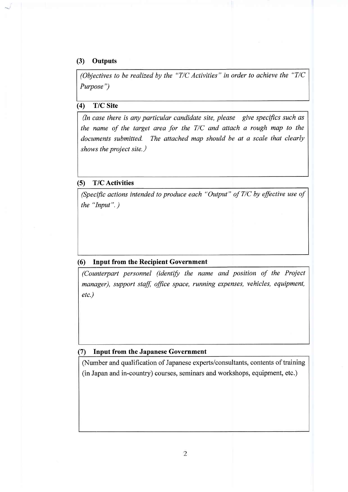## (3) Outputs

(Objectives to be realized by the "T/C Activities" in order to achieve the "T/C Purpose")

# (4) T/C Site

(In case there is any particular candidate site, please give specifics such as the name of the target area for the  $T/C$  and attach a rough map to the documents submitted. The attached map should be at a scale that clearly shows the project site.)

### (5) T/CActivities

(Specific actions intended to produce each "Output" of  $T/C$  by effective use of the "Input". )

### (6) Input from the Recipient Government

(Counterpart personnel (identify the name and position of the Project manager), support staff, office space, running expenses, vehicles, equipment etc.)

## (7) Input from the Japanese Government

(Number and qualification of Japanese experts/consultants, contents of training (in Japan and in-country) courses, seminars and workshops, equipment, etc.)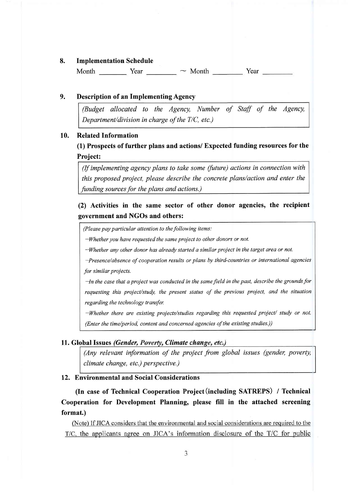#### 8. Implementation Schedule

Month  $\begin{array}{c} \begin{array}{c} \text{1} \\ \text{2} \end{array}$  Year  $\begin{array}{c} \text{1} \\ \text{2} \end{array}$  Year  $\begin{array}{c} \text{2} \\ \text{3} \end{array}$  Year  $\begin{array}{c} \text{2} \\ \text{4} \end{array}$  Year

#### 9. Description of an Implementing Agency

(Budget allocated to the Agency, Number of Staff of the Agency, Department/division in charge of the T/C, etc.)

#### 10. Related Information

(1) Prospects of further plans and actions/ Expected funding resources for the Project:

(If implementing agency plans to take some (future) actions in connection with this proposed project, please describe the concrete plans/action and enter the funding sources for the plans and actions.)

(2) Activities in the same sector of other donor agencies, the recipient government and NGOs and others:

(Please pay particular attention to the following items:

 $-Wh$ ether you have requested the same project to other donors or not.

-Whether any other donor has already started a similar project in the target area or not.

-Presence/absence of cooperation results or plans by third-countries or international agencies for similar projects.

-In the case that a project was conducted in the same field in the past, describe the grounds for requesting this project/study, the present status of the previous project, and the situation regarding the technology transfer.

-Whether there are existing projects/studies regarding this requested project/ study or not. (Enter the time/period, content and concerned agencies of the existing studies.))

### 11. Global Issues (Gender, Poverty, Climate change, etc.)

(Any relevant information of the project from global issues (gender, poverty, climate change, etc.) perspective.)

## 12. Environmental and Social Considerations

(In case of Technical Cooperation Project(including SATREPS) / Technical Cooperation for Development Planning, please fill in the attached screening format.)

(Note) If JICA considers that the environmental and social considerations are required to the T/C, the applicants agree on JICA's information disclosure of the T/C for public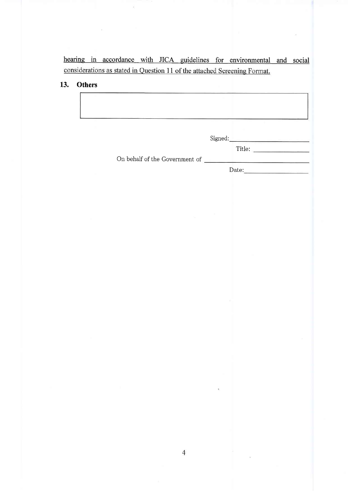hearing in accordance with JICA guidelines for environmental and social considerations as stated in Question 11 of the attached Screening Format.

# 13. Others

|                                | Signed: |        |
|--------------------------------|---------|--------|
| On behalf of the Government of |         | Title: |

Date: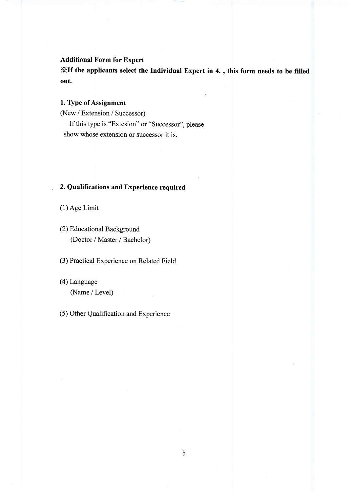## Additional Form for Expert

XIf the applicants select the Individual Expert in 4. , this form needs to be filled out.

## 1. Type of Assignment

(New / Extension / Successor)

If this type is "Extesion" or "Successor", please show whose extension or successor it is.

## . 2. Qualifications and Experience required

(1) Age Limit

(2) Educational Background (Doctor / Master / Bachelor)

(3) Practical Experience on Related Field

(4) Language (Name / Level)

(5) Other Qualification and Experience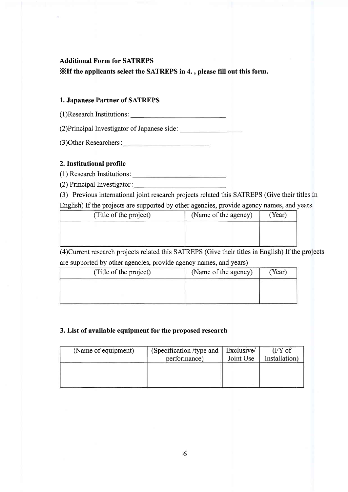# Additional Form for SATREPS

XIf the applicants select the SATREPS in 4. , please fill out this form.

## 1. Japanese Partner of SATREPS

( 1 )Research Institutions :

(2)Principal Investigator of Japanese side:

(3)Other Researchers:

## 2. Institutional profile

(1) Research Institutions :

(2) Principal Investigator :

(3) Previous international joint research projects related this SAIREPS (Give their titles in

| English) If the projects are supported by other agencies, provide agency names, and years |                      |        |  |
|-------------------------------------------------------------------------------------------|----------------------|--------|--|
| (Title of the project)                                                                    | (Name of the agency) | (Year) |  |
|                                                                                           |                      |        |  |

(4)Cunent research projects related this SAIREPS (Give their titles in English) If the projects are supported by other agencies, provide agency names, and years)

| (Name of the agency) | Year) |
|----------------------|-------|
|                      |       |
|                      |       |
|                      |       |

# 3. List of available equipment for the proposed research

| (Name of equipment) | (Specification /type and |           | $(FY \circ f)$ |
|---------------------|--------------------------|-----------|----------------|
|                     | performance)             | Joint Use | Installation)  |
|                     |                          |           |                |
|                     |                          |           |                |
|                     |                          |           |                |
|                     |                          |           |                |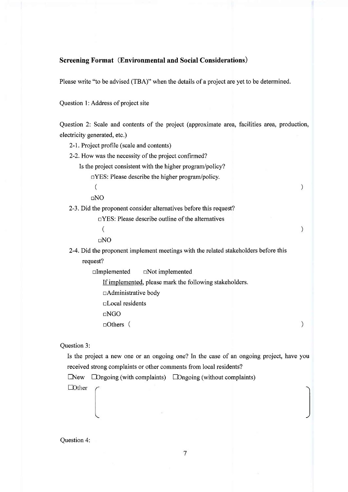## Screening Format (Environmental and Social Considerations)

Please write "to be advised (TBA)" when the details of a project are yet to be determined.

Question 1:Address of project site

Question 2: Scale and contents of the project (approximate area, facilities area, production, electricity generated, etc.)

 $\lambda$ 

 $\mathcal{I}$ 

 $\mathcal{E}$ 

2-1. Project profile (scale and contents)

2-2.How was the necessity of the project confirmed?

Is the project consistent with the higher program/policy?

 $\Box$ YES: Please describe the higher program/policy.

(

 $DNO$ 

2-3. Did the proponent consider alternatives before this request?

 $\Box$ YES: Please describe outline of the alternatives

 $\overline{(\ }$ 

 $DNO$ 

2-4. Did the proponent implement meetings with the related stakeholders before this request?

 $\square$ Implemented  $\square$ Not implemented

If implemented, please mark the following stakeholders.

 $\Box$ Administrative body

nlocal residents

nNGO

nOthers (

Question 3:

Is the project a new one or an ongoing one? In the case of an ongoing project, have youreceived strong complaints or other comments from local residents?

 $\Box$ New  $\Box$ Dngoing (with complaints)  $\Box$ Dngoing (without complaints)

 $\Box$ Other

Question 4: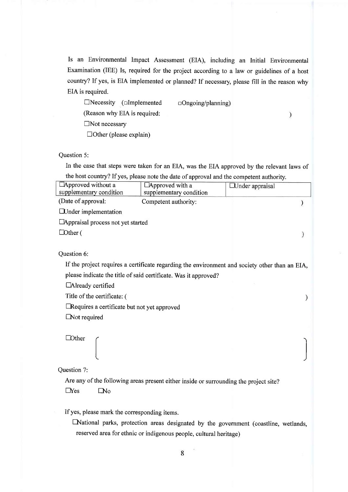Is an Environmental Impact Assessment (EIA), including an Initial Environmental Examination (IEE) Is, required for the project according to a law or guidelines of a host country? If yes, is EIA implemented or planned? If necessary, please fill in the reason why EIA is required.

 $\Box$ Necessity ( $\Box$ Implemented  $\Box$ Ongoing/planning) (Reason why EIA is required:  $\Box$ Not necessary  $\Box$ Other (please explain)

 $\mathcal{E}$ 

Question 5:

In the case that steps were taken for an EIA, was the EIA approved by the relevant laws of the host country? If yes, please note the date of approval and the competent authority.

| Approved without a                           | Approved with a                                                                                | $\Box$ Under appraisal |
|----------------------------------------------|------------------------------------------------------------------------------------------------|------------------------|
| supplementary condition                      | supplementary condition                                                                        |                        |
| (Date of approval:                           | Competent authority:                                                                           |                        |
| <b>EUnder</b> implementation                 |                                                                                                |                        |
| $\Box$ Appraisal process not yet started     |                                                                                                |                        |
| $\Box$ Other (                               |                                                                                                |                        |
|                                              |                                                                                                |                        |
| Question 6:                                  |                                                                                                |                        |
|                                              | If the project requires a certificate regarding the environment and society other than an EIA, |                        |
|                                              | please indicate the title of said certificate. Was it approved?                                |                        |
| □Already certified                           |                                                                                                |                        |
| Title of the certificate: (                  |                                                                                                | $\mathcal Y$           |
| Requires a certificate but not yet approved  |                                                                                                |                        |
| $\Box$ Not required                          |                                                                                                |                        |
|                                              |                                                                                                |                        |
| <b>Dther</b>                                 |                                                                                                |                        |
|                                              |                                                                                                |                        |
|                                              |                                                                                                |                        |
| Question 7:                                  |                                                                                                |                        |
|                                              | Are any of the following areas present either inside or surrounding the project site?          |                        |
| $\Box$ Yes<br>$\Box$ No                      |                                                                                                |                        |
|                                              |                                                                                                |                        |
| If yes, please mark the corresponding items. |                                                                                                |                        |
|                                              | National parks, protection areas designated by the government (coastline, wetlands,            |                        |
|                                              | reserved area for ethnic or indigenous people, cultural heritage)                              |                        |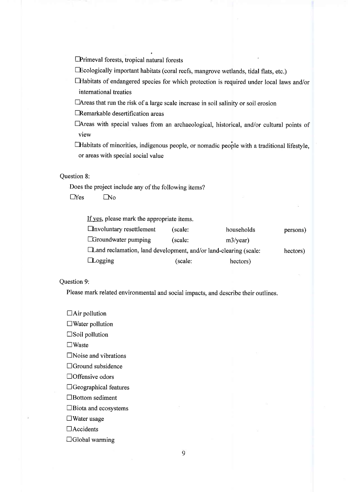fPrimeval forests, tropical natural forests

fFcologically important habitats (coral reefs, mangrove wetlands, tidal flats, etc.)

- EHabitats of endangered species for which protection is required under local laws and/or international treaties
- $\Box$  Areas that run the risk of a large scale increase in soil salinity or soil erosion

**ERemarkable desertification areas** 

□Areas with special values from an archaeological, historical, and/or cultural points of view

 $\Box$  Habitats of minorities, indigenous people, or nomadic people with a traditional lifestyle, or areas with special social value

## Question 8:

Does the project include any of the following items?  $\Box$ Yes  $\Box$ No

If yes, please mark the appropriate items.

| $\Box$ involuntary resettlement                                        | (scale: | households | persons) |
|------------------------------------------------------------------------|---------|------------|----------|
| $\Box$ Groundwater pumping                                             | (scale: | m3/year)   |          |
| $\Box$ and reclamation, land development, and/or land-clearing (scale: |         |            | hectors) |
| $\Box$ Logging                                                         | (scale: | hectors)   |          |

Question 9:

Please mark related environmental and social impacts, and describe their outlines.

 $\Box$ Air pollution

 $\square$ Water pollution

 $\square$  Soil pollution

 $\square$ Waste

 $\square$ Noise and vibrations

 $\Box$ Ground subsidence

 $\Box$ Offensive odors

 $\Box$  Geographical features

 $\Box$ Bottom sediment

 $\square$ Biota and ecosystems

 $\Box$ Water usage

 $\Box$ Accidents

 $\Box$ Global warming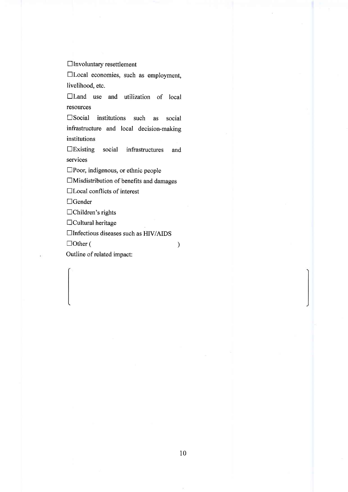$\Box$ Involuntary resettlement

 $\Box$ Local economies, such as employment, livelihood, etc.

 $\Box$  Land use and utilization of local resources

 $\square$  Social institutions such as social infrastructure and local decision-makins institutions

nExisting social infrastructures and services

 $\square$ Poor, indigenous, or ethnic people

 $\Box$ Misdistribution of benefits and damages

□Local conflicts of interest

 $\Box$ Gender

 $\Box$ Children's rights

 $\Box$ Cultural heritage

 $\Box$ Infectious diseases such as HIV/AIDS

 $\Box$  Other ( )

Outline of related impact: